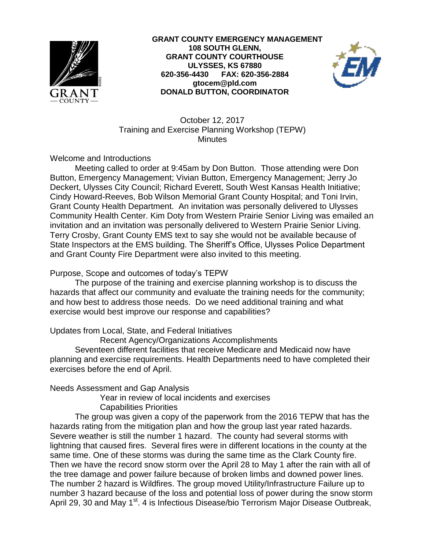



October 12, 2017 Training and Exercise Planning Workshop (TEPW) **Minutes** 

Welcome and Introductions

Meeting called to order at 9:45am by Don Button. Those attending were Don Button, Emergency Management; Vivian Button, Emergency Management; Jerry Jo Deckert, Ulysses City Council; Richard Everett, South West Kansas Health Initiative; Cindy Howard-Reeves, Bob Wilson Memorial Grant County Hospital; and Toni Irvin, Grant County Health Department. An invitation was personally delivered to Ulysses Community Health Center. Kim Doty from Western Prairie Senior Living was emailed an invitation and an invitation was personally delivered to Western Prairie Senior Living. Terry Crosby, Grant County EMS text to say she would not be available because of State Inspectors at the EMS building. The Sheriff's Office, Ulysses Police Department and Grant County Fire Department were also invited to this meeting.

## Purpose, Scope and outcomes of today's TEPW

The purpose of the training and exercise planning workshop is to discuss the hazards that affect our community and evaluate the training needs for the community; and how best to address those needs. Do we need additional training and what exercise would best improve our response and capabilities?

## Updates from Local, State, and Federal Initiatives

Recent Agency/Organizations Accomplishments

Seventeen different facilities that receive Medicare and Medicaid now have planning and exercise requirements. Health Departments need to have completed their exercises before the end of April.

## Needs Assessment and Gap Analysis

Year in review of local incidents and exercises Capabilities Priorities

The group was given a copy of the paperwork from the 2016 TEPW that has the hazards rating from the mitigation plan and how the group last year rated hazards. Severe weather is still the number 1 hazard. The county had several storms with lightning that caused fires. Several fires were in different locations in the county at the same time. One of these storms was during the same time as the Clark County fire. Then we have the record snow storm over the April 28 to May 1 after the rain with all of the tree damage and power failure because of broken limbs and downed power lines. The number 2 hazard is Wildfires. The group moved Utility/Infrastructure Failure up to number 3 hazard because of the loss and potential loss of power during the snow storm April 29, 30 and May 1<sup>st</sup>. 4 is Infectious Disease/bio Terrorism Major Disease Outbreak,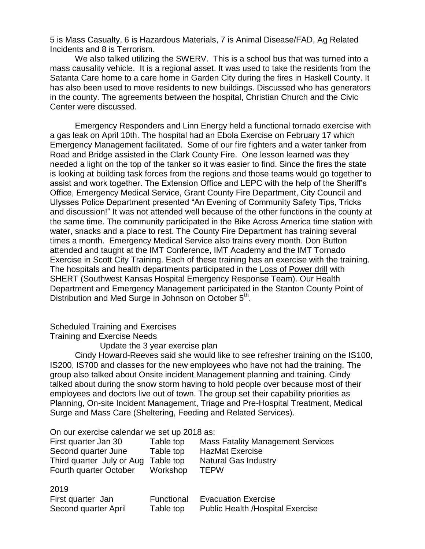5 is Mass Casualty, 6 is Hazardous Materials, 7 is Animal Disease/FAD, Ag Related Incidents and 8 is Terrorism.

We also talked utilizing the SWERV. This is a school bus that was turned into a mass causality vehicle. It is a regional asset. It was used to take the residents from the Satanta Care home to a care home in Garden City during the fires in Haskell County. It has also been used to move residents to new buildings. Discussed who has generators in the county. The agreements between the hospital, Christian Church and the Civic Center were discussed.

Emergency Responders and Linn Energy held a functional tornado exercise with a gas leak on April 10th. The hospital had an Ebola Exercise on February 17 which Emergency Management facilitated. Some of our fire fighters and a water tanker from Road and Bridge assisted in the Clark County Fire. One lesson learned was they needed a light on the top of the tanker so it was easier to find. Since the fires the state is looking at building task forces from the regions and those teams would go together to assist and work together. The Extension Office and LEPC with the help of the Sheriff's Office, Emergency Medical Service, Grant County Fire Department, City Council and Ulysses Police Department presented "An Evening of Community Safety Tips, Tricks and discussion!" It was not attended well because of the other functions in the county at the same time. The community participated in the Bike Across America time station with water, snacks and a place to rest. The County Fire Department has training several times a month. Emergency Medical Service also trains every month. Don Button attended and taught at the IMT Conference, IMT Academy and the IMT Tornado Exercise in Scott City Training. Each of these training has an exercise with the training. The hospitals and health departments participated in the Loss of Power drill with SHERT (Southwest Kansas Hospital Emergency Response Team). Our Health Department and Emergency Management participated in the Stanton County Point of Distribution and Med Surge in Johnson on October 5<sup>th</sup>.

## Scheduled Training and Exercises

Training and Exercise Needs

 $0.10$ 

Update the 3 year exercise plan

Cindy Howard-Reeves said she would like to see refresher training on the IS100, IS200, IS700 and classes for the new employees who have not had the training. The group also talked about Onsite incident Management planning and training. Cindy talked about during the snow storm having to hold people over because most of their employees and doctors live out of town. The group set their capability priorities as Planning, On-site Incident Management, Triage and Pre-Hospital Treatment, Medical Surge and Mass Care (Sheltering, Feeding and Related Services).

On our exercise calendar we set up 2018 as:

| First quarter Jan 30                | Table top | <b>Mass Fatality Management Services</b> |
|-------------------------------------|-----------|------------------------------------------|
| Second quarter June                 | Table top | HazMat Exercise                          |
| Third quarter July or Aug Table top |           | <b>Natural Gas Industry</b>              |
| Fourth quarter October              | Workshop  | <b>TEPW</b>                              |

| ZU I J               |            |                                          |
|----------------------|------------|------------------------------------------|
| First quarter Jan    | Functional | <b>Evacuation Exercise</b>               |
| Second quarter April | Table top  | <b>Public Health / Hospital Exercise</b> |